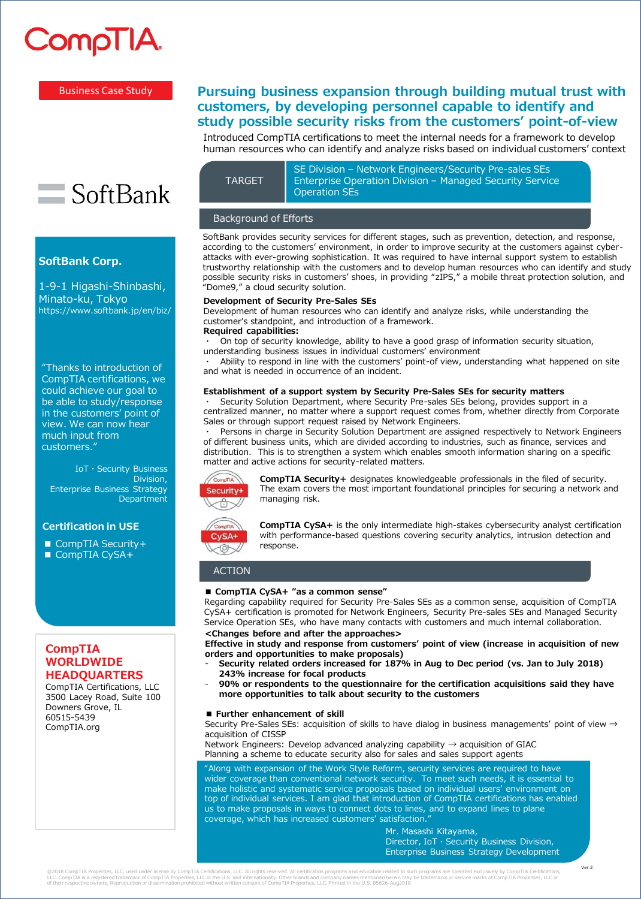

**SoftBank Corp.**

Minato-ku, Tokyo

1-9-1 Higashi-Shinbashi,

SoftBank

https://www.softbank.jp/en/biz/

"Thanks to introduction of CompTIA certifications, we could achieve our goal to be able to study/response in the customers' point of view. We can now hear much input from customers."

IoT・Security Business

Enterprise Business Strategy

Division,

**Department** 

## Business Case Study

# **Pursuing business expansion through building mutual trust with customers, by developing personnel capable to identify and study possible security risks from the customers' point-of-view**

Introduced CompTIA certifications to meet the internal needs for a framework to develop human resources who can identify and analyze risks based on individual customers' context

TARGET

SE Division – Network Engineers/Security Pre-sales SEs Enterprise Operation Division – Managed Security Service Operation SEs

#### Background of Efforts

SoftBank provides security services for different stages, such as prevention, detection, and response, according to the customers' environment, in order to improve security at the customers against cyberattacks with ever-growing sophistication. It was required to have internal support system to establish trustworthy relationship with the customers and to develop human resources who can identify and study possible security risks in customers' shoes, in providing "zIPS," a mobile threat protection solution, and "Dome9," a cloud security solution.

## **Development of Security Pre-Sales SEs**

Development of human resources who can identify and analyze risks, while understanding the customer's standpoint, and introduction of a framework. **Required capabilities:** 

On top of security knowledge, ability to have a good grasp of information security situation, understanding business issues in individual customers' environment

Ability to respond in line with the customers' point-of view, understanding what happened on site and what is needed in occurrence of an incident.

#### **Establishment of a support system by Security Pre-Sales SEs for security matters**

Security Solution Department, where Security Pre-sales SEs belong, provides support in a centralized manner, no matter where a support request comes from, whether directly from Corporate Sales or through support request raised by Network Engineers.

Persons in charge in Security Solution Department are assigned respectively to Network Engineers of different business units, which are divided according to industries, such as finance, services and distribution. This is to strengthen a system which enables smooth information sharing on a specific matter and active actions for security-related matters.



**CompTIA Security+** designates knowledgeable professionals in the filed of security. The exam covers the most important foundational principles for securing a network and managing risk.



**CompTIA CySA+** is the only intermediate high-stakes cybersecurity analyst certification with performance-based questions covering security analytics, intrusion detection and response.

## ACTION

#### **■ CompTIA CySA+ "as a common sense"**

Regarding capability required for Security Pre-Sales SEs as a common sense, acquisition of CompTIA CySA+ certification is promoted for Network Engineers, Security Pre-sales SEs and Managed Security Service Operation SEs, who have many contacts with customers and much internal collaboration.

## **<Changes before and after the approaches>**

- **Effective in study and response from customers' point of view (increase in acquisition of new orders and opportunities to make proposals)**
- **Security related orders increased for 187% in Aug to Dec period (vs. Jan to July 2018) 243% increase for focal products**
- **90% or respondents to the questionnaire for the certification acquisitions said they have more opportunities to talk about security to the customers**

#### **■ Further enhancement of skill**

Security Pre-Sales SEs: acquisition of skills to have dialog in business managements' point of view  $\rightarrow$ acquisition of CISSP

Network Engineers: Develop advanced analyzing capability → acquisition of GIAC Planning a scheme to educate security also for sales and sales support agents

"Along with expansion of the Work Style Reform, security services are required to have wider coverage than conventional network security. To meet such needs, it is essential to make holistic and systematic service proposals based on individual users' environment on top of individual services. I am glad that introduction of CompTIA certifications has enabled us to make proposals in ways to connect dots to lines, and to expand lines to plane coverage, which has increased customers' satisfaction.

Mr. Masashi Kitayama, Director, IoT・Security Business Division, Enterprise Business Strategy Development

# **CompTIA WORLDWIDE HEADQUARTERS**

**Certification in USE**

■ CompTIA Security+ ■ CompTIA CySA+

CompTIA Certifications, LLC 3500 Lacey Road, Suite 100 Downers Grove, IL 60515-5439 CompTIA.org